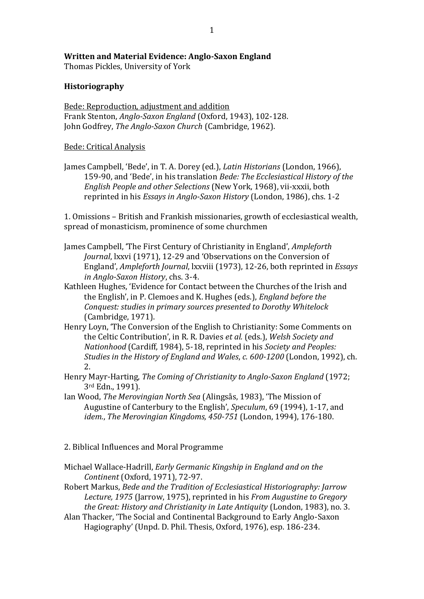## Written and Material Evidence: Anglo-Saxon England

Thomas Pickles, University of York

## **Historiography**

Bede: Reproduction, adjustment and addition Frank Stenton, *Anglo-Saxon England* (Oxford, 1943), 102-128. John Godfrey, *The Anglo-Saxon Church* (Cambridge, 1962).

## Bede: Critical Analysis

James Campbell, 'Bede', in T. A. Dorey (ed.), *Latin Historians* (London, 1966), 159-90, and 'Bede', in his translation *Bede: The Ecclesiastical History of the English People and other Selections* (New York, 1968), vii-xxxii, both reprinted in his *Essays in Anglo-Saxon History* (London, 1986), chs. 1-2

1. Omissions - British and Frankish missionaries, growth of ecclesiastical wealth, spread of monasticism, prominence of some churchmen

- James Campbell, 'The First Century of Christianity in England', Ampleforth *Journal*, lxxvi (1971), 12-29 and 'Observations on the Conversion of England', *Ampleforth Journal*, lxxviii (1973), 12-26, both reprinted in *Essays in Anglo-Saxon History*, chs. 3-4.
- Kathleen Hughes, 'Evidence for Contact between the Churches of the Irish and the English', in P. Clemoes and K. Hughes (eds.), *England before the Conquest: studies in primary sources presented to Dorothy Whitelock* (Cambridge, 1971).
- Henry Loyn, 'The Conversion of the English to Christianity: Some Comments on the Celtic Contribution', in R. R. Davies et al. (eds.), Welsh Society and *Nationhood* (Cardiff, 1984), 5-18, reprinted in his *Society and Peoples: Studies in the History of England and Wales. c. 600-1200* (London, 1992), ch. 2.
- Henry Mayr-Harting, *The Coming of Christianity to Anglo-Saxon England* (1972; 3rd Edn., 1991).
- Ian Wood, *The Merovingian North Sea* (Alingsås, 1983), 'The Mission of Augustine of Canterbury to the English', Speculum, 69 (1994), 1-17, and *idem.. The Merovingian Kingdoms, 450-751* (London, 1994), 176-180.
- 2. Biblical Influences and Moral Programme
- Michael Wallace-Hadrill, *Early Germanic Kingship in England and on the Continent* (Oxford, 1971), 72-97.
- Robert"Markus,"*Bede\*and\*the\*Tradition\*of\*Ecclesiastical\*Historiography:\*Jarrow\* Lecture, 1975* (Jarrow, 1975), reprinted in his *From Augustine to Gregory the\*Great:\*History\*and\*Christianity\*in\*Late\*Antiquity* (London,"1983),"no."3.
- Alan Thacker, 'The Social and Continental Background to Early Anglo-Saxon Hagiography' (Unpd. D. Phil. Thesis. Oxford. 1976). esp. 186-234.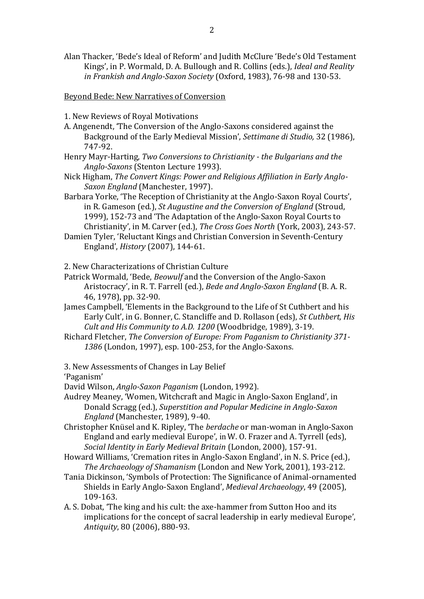Alan Thacker, 'Bede's Ideal of Reform' and Judith McClure 'Bede's Old Testament Kings', in P. Wormald, D. A. Bullough and R. Collins (eds.), Ideal and Reality in Frankish and Anglo-Saxon Society (Oxford, 1983), 76-98 and 130-53.

**Beyond Bede: New Narratives of Conversion** 

- 1. New Reviews of Royal Motivations
- A. Angenendt, 'The Conversion of the Anglo-Saxons considered against the Background of the Early Medieval Mission', Settimane di Studio, 32 (1986). 747-92.
- Henry Mayr-Harting, Two Conversions to Christianity the Bulgarians and the Anglo-Saxons (Stenton Lecture 1993).
- Nick Higham, The Convert Kings: Power and Religious Affiliation in Early Anglo-Saxon England (Manchester, 1997).
- Barbara Yorke, 'The Reception of Christianity at the Anglo-Saxon Royal Courts', in R. Gameson (ed.), St Augustine and the Conversion of England (Stroud. 1999), 152-73 and 'The Adaptation of the Anglo-Saxon Royal Courts to Christianity', in M. Carver (ed.), The Cross Goes North (York, 2003), 243-57.
- Damien Tyler, 'Reluctant Kings and Christian Conversion in Seventh-Century England', *History* (2007), 144-61.

2. New Characterizations of Christian Culture

- Patrick Wormald, 'Bede, Beowulf and the Conversion of the Anglo-Saxon Aristocracy', in R. T. Farrell (ed.), Bede and Anglo-Saxon England (B. A. R. 46, 1978), pp. 32-90.
- James Campbell, 'Elements in the Background to the Life of St Cuthbert and his Early Cult', in G. Bonner, C. Stancliffe and D. Rollason (eds), St Cuthbert, His Cult and His Community to A.D. 1200 (Woodbridge, 1989), 3-19.
- Richard Fletcher, The Conversion of Europe: From Paganism to Christianity 371-1386 (London, 1997), esp. 100-253, for the Anglo-Saxons.

3. New Assessments of Changes in Lay Belief

'Paganism'

David Wilson, Analo-Saxon Paganism (London, 1992).

- Audrey Meaney, 'Women, Witchcraft and Magic in Anglo-Saxon England', in Donald Scragg (ed.), Superstition and Popular Medicine in Anglo-Saxon England (Manchester, 1989), 9-40.
- Christopher Knüsel and K. Ripley, 'The berdache or man-woman in Anglo-Saxon England and early medieval Europe', in W. O. Frazer and A. Tyrrell (eds), Social Identity in Early Medieval Britain (London, 2000), 157-91.

Howard Williams, 'Cremation rites in Anglo-Saxon England', in N. S. Price (ed.). The Archaeology of Shamanism (London and New York, 2001), 193-212.

- Tania Dickinson, 'Symbols of Protection: The Significance of Animal-ornamented Shields in Early Anglo-Saxon England', Medieval Archaeology, 49 (2005). 109-163.
- A. S. Dobat, 'The king and his cult: the axe-hammer from Sutton Hoo and its implications for the concept of sacral leadership in early medieval Europe', Antiquity, 80 (2006), 880-93.